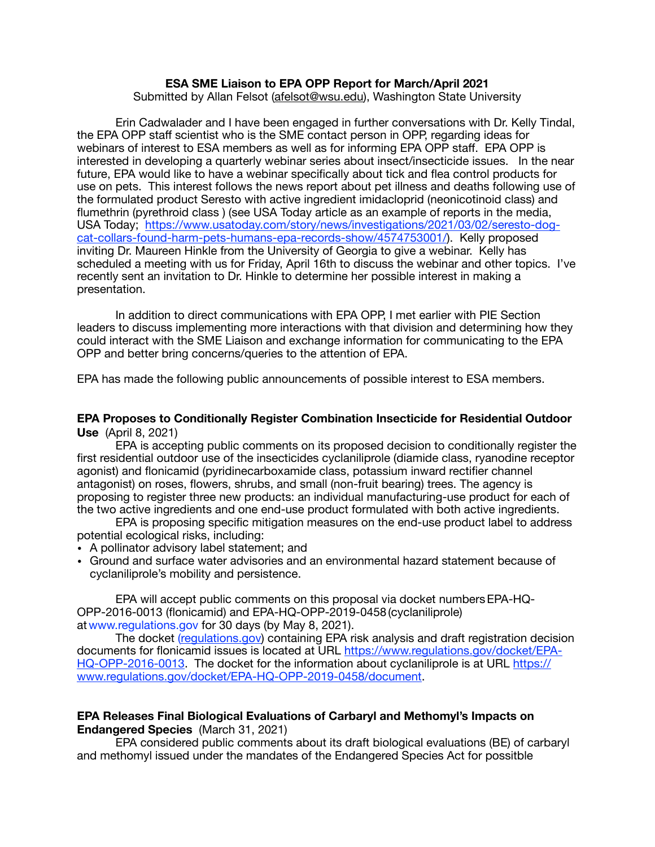## **ESA SME Liaison to EPA OPP Report for March/April 2021**

Submitted by Allan Felsot ([afelsot@wsu.edu\)](mailto:afelsot@wsu.edu), Washington State University

Erin Cadwalader and I have been engaged in further conversations with Dr. Kelly Tindal, the EPA OPP staff scientist who is the SME contact person in OPP, regarding ideas for webinars of interest to ESA members as well as for informing EPA OPP staff. EPA OPP is interested in developing a quarterly webinar series about insect/insecticide issues. In the near future, EPA would like to have a webinar specifically about tick and flea control products for use on pets. This interest follows the news report about pet illness and deaths following use of the formulated product Seresto with active ingredient imidacloprid (neonicotinoid class) and flumethrin (pyrethroid class ) (see USA Today article as an example of reports in the media, USA Today; [https://www.usatoday.com/story/news/investigations/2021/03/02/seresto-dog](https://www.usatoday.com/story/news/investigations/2021/03/02/seresto-dog-cat-collars-found-harm-pets-humans-epa-records-show/4574753001/)[cat-collars-found-harm-pets-humans-epa-records-show/4574753001/\). Kelly proposed](https://www.usatoday.com/story/news/investigations/2021/03/02/seresto-dog-cat-collars-found-harm-pets-humans-epa-records-show/4574753001/)  inviting Dr. Maureen Hinkle from the University of Georgia to give a webinar. Kelly has scheduled a meeting with us for Friday, April 16th to discuss the webinar and other topics. I've recently sent an invitation to Dr. Hinkle to determine her possible interest in making a presentation.

In addition to direct communications with EPA OPP, I met earlier with PIE Section leaders to discuss implementing more interactions with that division and determining how they could interact with the SME Liaison and exchange information for communicating to the EPA OPP and better bring concerns/queries to the attention of EPA.

EPA has made the following public announcements of possible interest to ESA members.

## **EPA Proposes to Conditionally Register Combination Insecticide for Residential Outdoor Use** (April 8, 2021)

EPA is accepting public comments on its proposed decision to conditionally register the first residential outdoor use of the insecticides cyclaniliprole (diamide class, ryanodine receptor agonist) and flonicamid (pyridinecarboxamide class, potassium inward rectifier channel antagonist) on roses, flowers, shrubs, and small (non-fruit bearing) trees. The agency is proposing to register three new products: an individual manufacturing-use product for each of the two active ingredients and one end-use product formulated with both active ingredients.

EPA is proposing specific mitigation measures on the end-use product label to address potential ecological risks, including:

- A pollinator advisory label statement; and
- Ground and surface water advisories and an environmental hazard statement because of cyclaniliprole's mobility and persistence.

EPA will accept public comments on this proposal via docket numbersEPA-HQ-OPP-2016-0013 (flonicamid) and EPA-HQ-OPP-2019-0458 (cyclaniliprole) atwww.regulations.gov for 30 days (by May 8, 2021).

The docket [\(regulations.gov](http://regulations.gov)) containing EPA risk analysis and draft registration decision documents for flonicamid issues is located at URL [https://www.regulations.gov/docket/EPA-](https://www.regulations.gov/docket/EPA-HQ-OPP-2016-0013)[HQ-OPP-2016-0013.](https://www.regulations.gov/docket/EPA-HQ-OPP-2016-0013) The docket for the information about cyclaniliprole is at URL [https://](https://www.regulations.gov/docket/EPA-HQ-OPP-2019-0458/document) [www.regulations.gov/docket/EPA-HQ-OPP-2019-0458/document](https://www.regulations.gov/docket/EPA-HQ-OPP-2019-0458/document).

## **EPA Releases Final Biological Evaluations of Carbaryl and Methomyl's Impacts on Endangered Species** (March 31, 2021)

EPA considered public comments about its draft biological evaluations (BE) of carbaryl and methomyl issued under the mandates of the Endangered Species Act for possitble